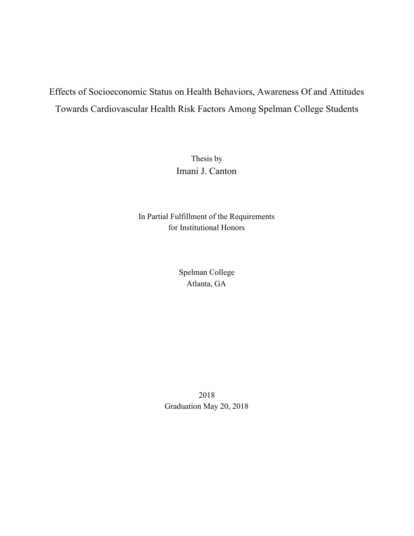# Effects of Socioeconomic Status on Health Behaviors, Awareness Of and Attitudes Towards Cardiovascular Health Risk Factors Among Spelman College Students

Thesis by Imani J. Canton

In Partial Fulfillment of the Requirements for Institutional Honors

> Spelman College Atlanta, GA

2018 Graduation May 20, 2018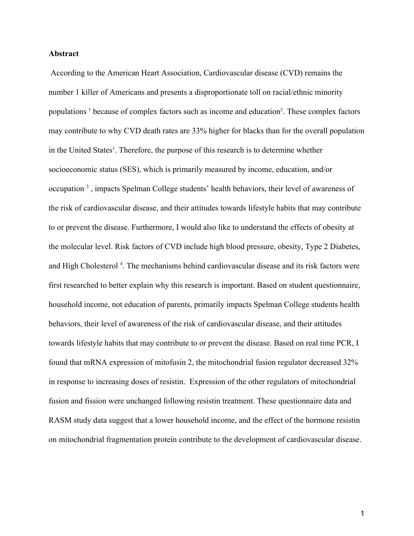# **Abstract**

 According to the American Heart Association, Cardiovascular disease (CVD) remains the number 1 killer of Americans and presents a disproportionate toll on racial/ethnic minority populations<sup>1</sup> because of complex factors such as income and education<sup>2</sup>. These complex factors may contribute to why CVD death rates are 33% higher for blacks than for the overall population in the United States<sup>1</sup>. Therefore, the purpose of this research is to determine whether socioeconomic status (SES), which is primarily measured by income, education, and/or occupation<sup>3</sup>, impacts Spelman College students' health behaviors, their level of awareness of the risk of cardiovascular disease, and their attitudes towards lifestyle habits that may contribute to or prevent the disease. Furthermore, I would also like to understand the effects of obesity at the molecular level. Risk factors of CVD include high blood pressure, obesity, Type 2 Diabetes, and High Cholesterol<sup>4</sup>. The mechanisms behind cardiovascular disease and its risk factors were first researched to better explain why this research is important. Based on student questionnaire, household income, not education of parents, primarily impacts Spelman College students health behaviors, their level of awareness of the risk of cardiovascular disease, and their attitudes towards lifestyle habits that may contribute to or prevent the disease. Based on real time PCR, I found that mRNA expression of mitofusin 2, the mitochondrial fusion regulator decreased 32% in response to increasing doses of resistin. Expression of the other regulators of mitochondrial fusion and fission were unchanged following resistin treatment. These questionnaire data and RASM study data suggest that a lower household income, and the effect of the hormone resistin on mitochondrial fragmentation protein contribute to the development of cardiovascular disease.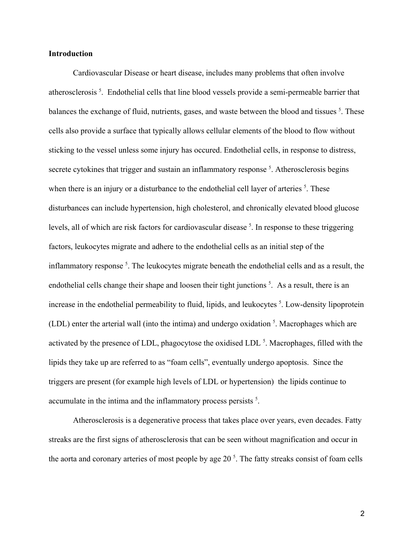# **Introduction**

Cardiovascular Disease or heart disease, includes many problems that often involve atherosclerosis<sup>5</sup>. Endothelial cells that line blood vessels provide a semi-permeable barrier that balances the exchange of fluid, nutrients, gases, and waste between the blood and tissues <sup>5</sup>. These cells also provide a surface that typically allows cellular elements of the blood to flow without sticking to the vessel unless some injury has occured. Endothelial cells, in response to distress, secrete cytokines that trigger and sustain an inflammatory response<sup>5</sup>. Atherosclerosis begins when there is an injury or a disturbance to the endothelial cell layer of arteries  $<sup>5</sup>$ . These</sup> disturbances can include hypertension, high cholesterol, and chronically elevated blood glucose levels, all of which are risk factors for cardiovascular disease <sup>5</sup>. In response to these triggering factors, leukocytes migrate and adhere to the endothelial cells as an initial step of the inflammatory response<sup>5</sup>. The leukocytes migrate beneath the endothelial cells and as a result, the endothelial cells change their shape and loosen their tight junctions<sup>5</sup>. As a result, there is an increase in the endothelial permeability to fluid, lipids, and leukocytes <sup>5</sup>. Low-density lipoprotein (LDL) enter the arterial wall (into the intima) and undergo oxidation  $<sup>5</sup>$ . Macrophages which are</sup> activated by the presence of LDL, phagocytose the oxidised LDL<sup>5</sup>. Macrophages, filled with the lipids they take up are referred to as "foam cells", eventually undergo apoptosis. Since the triggers are present (for example high levels of LDL or hypertension) the lipids continue to accumulate in the intima and the inflammatory process persists<sup>5</sup>.

Atherosclerosis is a degenerative process that takes place over years, even decades. Fatty streaks are the first signs of atherosclerosis that can be seen without magnification and occur in the aorta and coronary arteries of most people by age  $20<sup>5</sup>$ . The fatty streaks consist of foam cells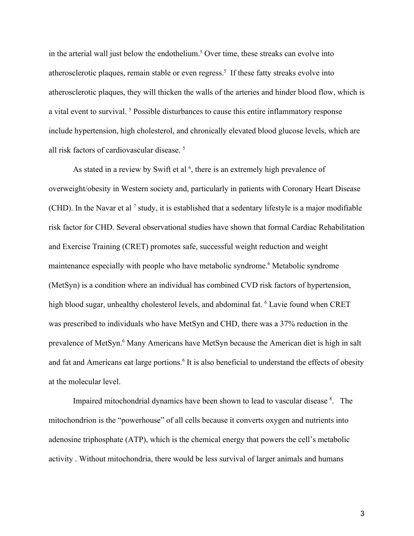in the arterial wall just below the endothelium.<sup>5</sup> Over time, these streaks can evolve into atherosclerotic plaques, remain stable or even regress.<sup>5</sup> If these fatty streaks evolve into atherosclerotic plaques, they will thicken the walls of the arteries and hinder blood flow, which is a vital event to survival.<sup>5</sup> Possible disturbances to cause this entire inflammatory response include hypertension, high cholesterol, and chronically elevated blood glucose levels, which are all risk factors of cardiovascular disease.<sup>5</sup>

As stated in a review by Swift et al  $<sup>6</sup>$ , there is an extremely high prevalence of</sup> overweight/obesity in Western society and, particularly in patients with Coronary Heart Disease (CHD). In the Navar et al<sup>7</sup> study, it is established that a sedentary lifestyle is a major modifiable risk factor for CHD. Several observational studies have shown that formal Cardiac Rehabilitation and Exercise Training (CRET) promotes safe, successful weight reduction and weight maintenance especially with people who have metabolic syndrome.<sup>6</sup> Metabolic syndrome (MetSyn) is a condition where an individual has combined CVD risk factors of hypertension, high blood sugar, unhealthy cholesterol levels, and abdominal fat. <sup>6</sup> Lavie found when CRET was prescribed to individuals who have MetSyn and CHD, there was a 37% reduction in the prevalence of MetSyn.<sup>6</sup> Many Americans have MetSyn because the American diet is high in salt and fat and Americans eat large portions.<sup>6</sup> It is also beneficial to understand the effects of obesity at the molecular level.

Impaired mitochondrial dynamics have been shown to lead to vascular disease <sup>8</sup>. The mitochondrion is the "powerhouse" of all cells because it converts oxygen and nutrients into adenosine triphosphate (ATP), which is the chemical energy that powers the cell's metabolic activity . Without mitochondria, there would be less survival of larger animals and humans

3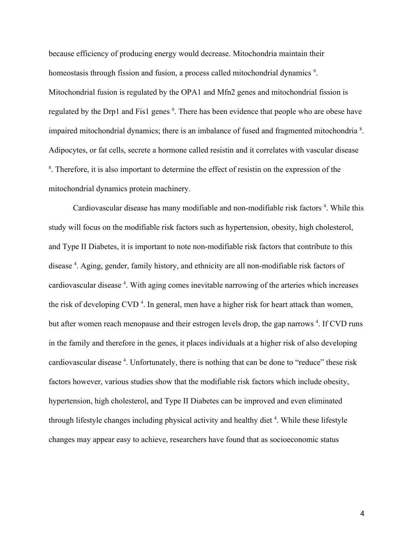because efficiency of producing energy would decrease. Mitochondria maintain their homeostasis through fission and fusion, a process called mitochondrial dynamics<sup>9</sup>. Mitochondrial fusion is regulated by the OPA1 and Mfn2 genes and mitochondrial fission is regulated by the Drp1 and Fis1 genes<sup>9</sup>. There has been evidence that people who are obese have impaired mitochondrial dynamics; there is an imbalance of fused and fragmented mitochondria<sup>8</sup>. Adipocytes, or fat cells, secrete a hormone called resistin and it correlates with vascular disease <sup>8</sup>. Therefore, it is also important to determine the effect of resistin on the expression of the mitochondrial dynamics protein machinery.

Cardiovascular disease has many modifiable and non-modifiable risk factors<sup>4</sup>. While this study will focus on the modifiable risk factors such as hypertension, obesity, high cholesterol, and Type II Diabetes, it is important to note non-modifiable risk factors that contribute to this disease<sup>4</sup>. Aging, gender, family history, and ethnicity are all non-modifiable risk factors of cardiovascular disease<sup>4</sup>. With aging comes inevitable narrowing of the arteries which increases the risk of developing CVD<sup>4</sup>. In general, men have a higher risk for heart attack than women, but after women reach menopause and their estrogen levels drop, the gap narrows<sup>4</sup>. If CVD runs in the family and therefore in the genes, it places individuals at a higher risk of also developing cardiovascular disease<sup>4</sup>. Unfortunately, there is nothing that can be done to "reduce" these risk factors however, various studies show that the modifiable risk factors which include obesity, hypertension, high cholesterol, and Type II Diabetes can be improved and even eliminated through lifestyle changes including physical activity and healthy diet<sup>4</sup>. While these lifestyle changes may appear easy to achieve, researchers have found that as socioeconomic status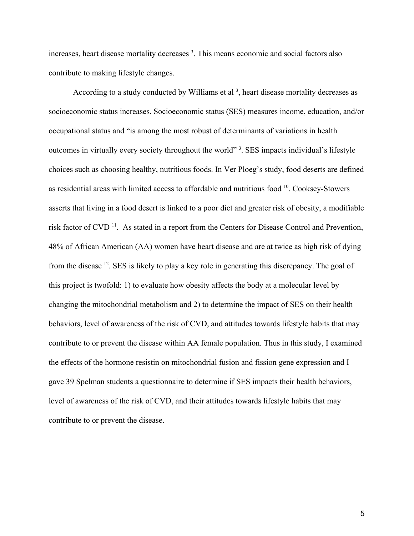increases, heart disease mortality decreases<sup>3</sup>. This means economic and social factors also contribute to making lifestyle changes.

According to a study conducted by Williams et al  $<sup>3</sup>$ , heart disease mortality decreases as</sup> socioeconomic status increases. Socioeconomic status (SES) measures income, education, and/or occupational status and "is among the most robust of determinants of variations in health outcomes in virtually every society throughout the world"<sup>3</sup>. SES impacts individual's lifestyle choices such as choosing healthy, nutritious foods. In Ver Ploeg's study, food deserts are defined as residential areas with limited access to affordable and nutritious food <sup>10</sup>. Cooksey-Stowers asserts that living in a food desert is linked to a poor diet and greater risk of obesity, a modifiable risk factor of CVD<sup>11</sup>. As stated in a report from the Centers for Disease Control and Prevention, 48% of African American (AA) women have heart disease and are at twice as high risk of dying from the disease <sup>12</sup>. SES is likely to play a key role in generating this discrepancy. The goal of this project is twofold: 1) to evaluate how obesity affects the body at a molecular level by changing the mitochondrial metabolism and 2) to determine the impact of SES on their health behaviors, level of awareness of the risk of CVD, and attitudes towards lifestyle habits that may contribute to or prevent the disease within AA female population. Thus in this study, I examined the effects of the hormone resistin on mitochondrial fusion and fission gene expression and I gave 39 Spelman students a questionnaire to determine if SES impacts their health behaviors, level of awareness of the risk of CVD, and their attitudes towards lifestyle habits that may contribute to or prevent the disease.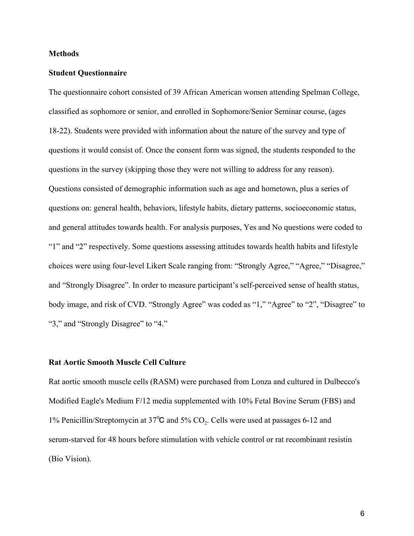# **Methods**

#### **Student Questionnaire**

The questionnaire cohort consisted of 39 African American women attending Spelman College, classified as sophomore or senior, and enrolled in Sophomore/Senior Seminar course, (ages 18-22). Students were provided with information about the nature of the survey and type of questions it would consist of. Once the consent form was signed, the students responded to the questions in the survey (skipping those they were not willing to address for any reason). Questions consisted of demographic information such as age and hometown, plus a series of questions on: general health, behaviors, lifestyle habits, dietary patterns, socioeconomic status, and general attitudes towards health. For analysis purposes, Yes and No questions were coded to "1" and "2" respectively. Some questions assessing attitudes towards health habits and lifestyle choices were using four-level Likert Scale ranging from: "Strongly Agree," "Agree," "Disagree," and "Strongly Disagree". In order to measure participant's self-perceived sense of health status, body image, and risk of CVD. "Strongly Agree" was coded as "1," "Agree" to "2", "Disagree" to "3," and "Strongly Disagree" to "4."

# **Rat Aortic Smooth Muscle Cell Culture**

Rat aortic smooth muscle cells (RASM) were purchased from Lonza and cultured in Dulbecco's Modified Eagle's Medium F/12 media supplemented with 10% Fetal Bovine Serum (FBS) and 1% Penicillin/Streptomycin at 37°C and 5% CO<sub>2</sub>. Cells were used at passages 6-12 and serum-starved for 48 hours before stimulation with vehicle control or rat recombinant resistin (Bio Vision).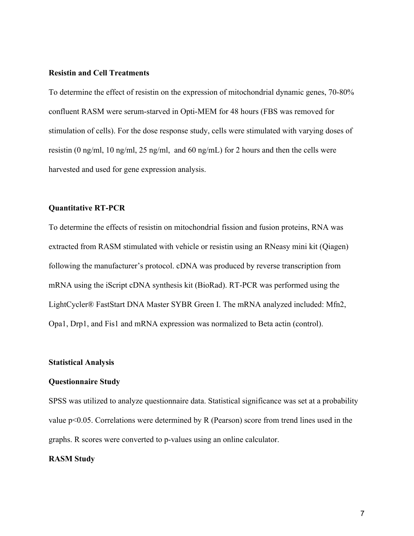#### **Resistin and Cell Treatments**

To determine the effect of resistin on the expression of mitochondrial dynamic genes, 70-80% confluent RASM were serum-starved in Opti-MEM for 48 hours (FBS was removed for stimulation of cells). For the dose response study, cells were stimulated with varying doses of resistin (0 ng/ml, 10 ng/ml, 25 ng/ml, and 60 ng/mL) for 2 hours and then the cells were harvested and used for gene expression analysis.

# **Quantitative RT-PCR**

To determine the effects of resistin on mitochondrial fission and fusion proteins, RNA was extracted from RASM stimulated with vehicle or resistin using an RNeasy mini kit (Qiagen) following the manufacturer's protocol. cDNA was produced by reverse transcription from mRNA using the iScript cDNA synthesis kit (BioRad). RT-PCR was performed using the LightCycler® FastStart DNA Master SYBR Green I. The mRNA analyzed included: Mfn2, Opa1, Drp1, and Fis1 and mRNA expression was normalized to Beta actin (control).

# **Statistical Analysis**

#### **Questionnaire Study**

SPSS was utilized to analyze questionnaire data. Statistical significance was set at a probability value p<0.05. Correlations were determined by R (Pearson) score from trend lines used in the graphs. R scores were converted to p-values using an online calculator.

# **RASM Study**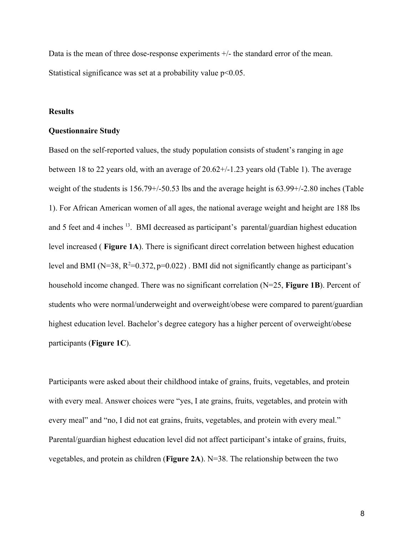Data is the mean of three dose-response experiments  $+/-$  the standard error of the mean. Statistical significance was set at a probability value  $p<0.05$ .

# **Results**

#### **Questionnaire Study**

Based on the self-reported values, the study population consists of student's ranging in age between 18 to 22 years old, with an average of 20.62+/-1.23 years old (Table 1). The average weight of the students is 156.79+/-50.53 lbs and the average height is 63.99+/-2.80 inches (Table 1). For African American women of all ages, the national average weight and height are 188 lbs and 5 feet and 4 inches <sup>13</sup>. BMI decreased as participant's parental/guardian highest education level increased ( **Figure 1A**). There is significant direct correlation between highest education level and BMI ( $N=38$ ,  $R^2=0.372$ ,  $p=0.022$ ). BMI did not significantly change as participant's household income changed. There was no significant correlation (N=25, **Figure 1B**). Percent of students who were normal/underweight and overweight/obese were compared to parent/guardian highest education level. Bachelor's degree category has a higher percent of overweight/obese participants (**Figure 1C**).

Participants were asked about their childhood intake of grains, fruits, vegetables, and protein with every meal. Answer choices were "yes, I ate grains, fruits, vegetables, and protein with every meal" and "no, I did not eat grains, fruits, vegetables, and protein with every meal." Parental/guardian highest education level did not affect participant's intake of grains, fruits, vegetables, and protein as children (**Figure 2A**). N=38. The relationship between the two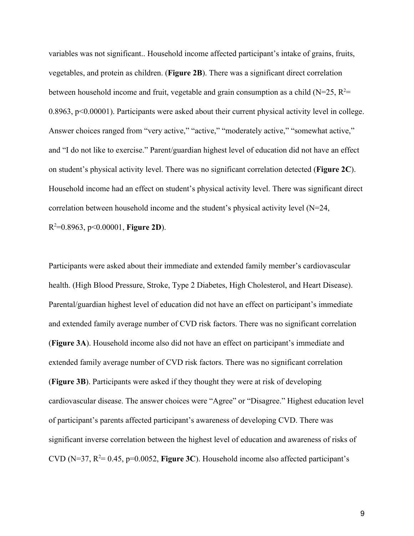variables was not significant.. Household income affected participant's intake of grains, fruits, vegetables, and protein as children. (**Figure 2B**). There was a significant direct correlation between household income and fruit, vegetable and grain consumption as a child (N=25,  $R^2=$ 0.8963, p<0.00001). Participants were asked about their current physical activity level in college. Answer choices ranged from "very active," "active," "moderately active," "somewhat active," and "I do not like to exercise." Parent/guardian highest level of education did not have an effect on student's physical activity level. There was no significant correlation detected (**Figure 2C**). Household income had an effect on student's physical activity level. There was significant direct correlation between household income and the student's physical activity level (N=24, R <sup>2</sup>=0.8963, p<0.00001, **Figure 2D**).

Participants were asked about their immediate and extended family member's cardiovascular health. (High Blood Pressure, Stroke, Type 2 Diabetes, High Cholesterol, and Heart Disease). Parental/guardian highest level of education did not have an effect on participant's immediate and extended family average number of CVD risk factors. There was no significant correlation (**Figure 3A**). Household income also did not have an effect on participant's immediate and extended family average number of CVD risk factors. There was no significant correlation (**Figure 3B**). Participants were asked if they thought they were at risk of developing cardiovascular disease. The answer choices were "Agree" or "Disagree." Highest education level of participant's parents affected participant's awareness of developing CVD. There was significant inverse correlation between the highest level of education and awareness of risks of CVD ( $N=37$ ,  $R^2= 0.45$ ,  $p=0.0052$ , **Figure 3C**). Household income also affected participant's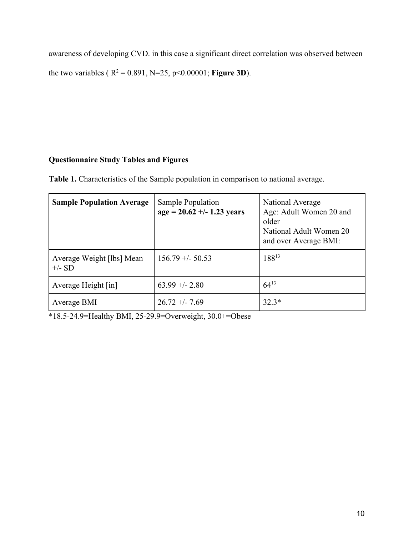awareness of developing CVD. in this case a significant direct correlation was observed between the two variables ( $R^2 = 0.891$ ,  $N=25$ ,  $p<0.00001$ ; **Figure 3D**).

# **Questionnaire Study Tables and Figures**

Table 1. Characteristics of the Sample population in comparison to national average.

| <b>Sample Population Average</b>      | Sample Population<br>$age = 20.62 + (-1.23 \text{ years})$ | National Average<br>Age: Adult Women 20 and<br>older<br>National Adult Women 20<br>and over Average BMI: |
|---------------------------------------|------------------------------------------------------------|----------------------------------------------------------------------------------------------------------|
| Average Weight [lbs] Mean<br>$+/- SD$ | $156.79 + - 50.53$                                         | 18813                                                                                                    |
| Average Height [in]                   | $63.99 + - 2.80$                                           | $64^{13}$                                                                                                |
| Average BMI                           | $26.72 + - 7.69$                                           | $32.3*$                                                                                                  |

\*18.5-24.9=Healthy BMI, 25-29.9=Overweight, 30.0+=Obese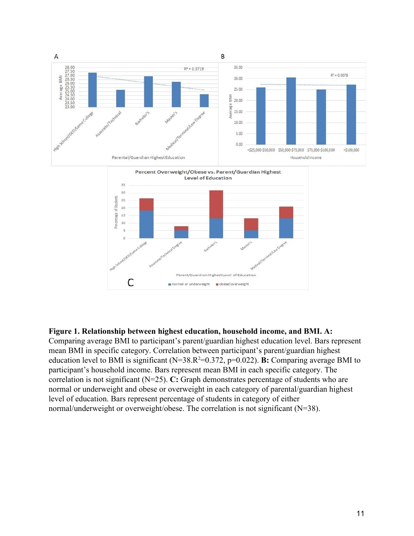

# **Figure 1. Relationship between highest education, household income, and BMI. A:**

Comparing average BMI to participant's parent/guardian highest education level. Bars represent mean BMI in specific category. Correlation between participant's parent/guardian highest education level to BMI is significant  $(N=38.R^2=0.372, p=0.022)$ . **B:** Comparing average BMI to participant's household income. Bars represent mean BMI in each specific category. The correlation is not significant (N=25). **C:** Graph demonstrates percentage of students who are normal or underweight and obese or overweight in each category of parental/guardian highest level of education. Bars represent percentage of students in category of either normal/underweight or overweight/obese. The correlation is not significant (N=38).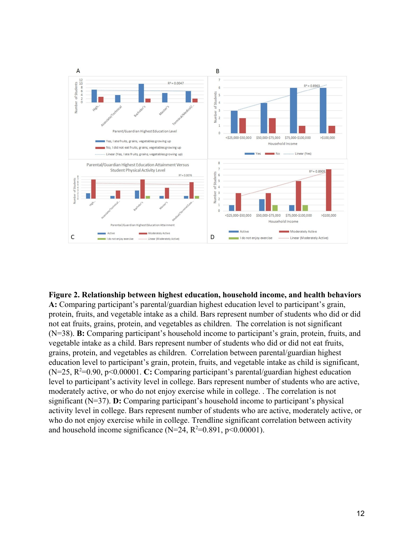

**Figure 2. Relationship between highest education, household income, and health behaviors A:** Comparing participant's parental/guardian highest education level to participant's grain, protein, fruits, and vegetable intake as a child. Bars represent number of students who did or did not eat fruits, grains, protein, and vegetables as children. The correlation is not significant (N=38). **B:** Comparing participant's household income to participant's grain, protein, fruits, and vegetable intake as a child. Bars represent number of students who did or did not eat fruits, grains, protein, and vegetables as children. Correlation between parental/guardian highest education level to participant's grain, protein, fruits, and vegetable intake as child is significant, (N=25, R<sup>2</sup>=0.90, p<0.00001. **C:** Comparing participant's parental/guardian highest education level to participant's activity level in college. Bars represent number of students who are active, moderately active, or who do not enjoy exercise while in college. . The correlation is not significant (N=37). **D:** Comparing participant's household income to participant's physical activity level in college. Bars represent number of students who are active, moderately active, or who do not enjoy exercise while in college. Trendline significant correlation between activity and household income significance ( $N=24$ ,  $R^2=0.891$ ,  $p<0.00001$ ).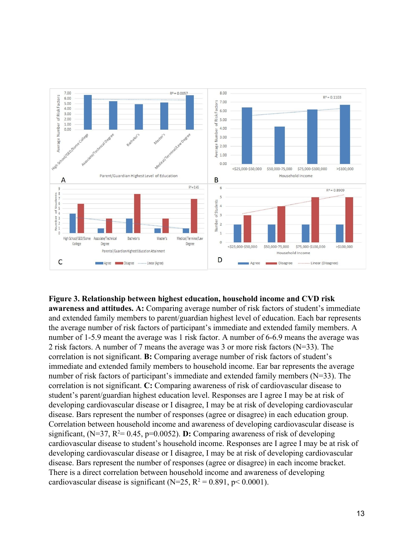

# **Figure 3. Relationship between highest education, household income and CVD risk**

**awareness and attitudes. A:** Comparing average number of risk factors of student's immediate and extended family members to parent/guardian highest level of education. Each bar represents the average number of risk factors of participant's immediate and extended family members. A number of 1-5.9 meant the average was 1 risk factor. A number of 6-6.9 means the average was 2 risk factors. A number of 7 means the average was 3 or more risk factors (N=33). The correlation is not significant. **B:** Comparing average number of risk factors of student's immediate and extended family members to household income. Ear bar represents the average number of risk factors of participant's immediate and extended family members (N=33). The correlation is not significant. **C:** Comparing awareness of risk of cardiovascular disease to student's parent/guardian highest education level. Responses are I agree I may be at risk of developing cardiovascular disease or I disagree, I may be at risk of developing cardiovascular disease. Bars represent the number of responses (agree or disagree) in each education group. Correlation between household income and awareness of developing cardiovascular disease is significant,  $(N=37, R^2= 0.45, p=0.0052)$ . **D:** Comparing awareness of risk of developing cardiovascular disease to student's household income. Responses are I agree I may be at risk of developing cardiovascular disease or I disagree, I may be at risk of developing cardiovascular disease. Bars represent the number of responses (agree or disagree) in each income bracket. There is a direct correlation between household income and awareness of developing cardiovascular disease is significant ( $N=25$ ,  $R^2 = 0.891$ ,  $p < 0.0001$ ).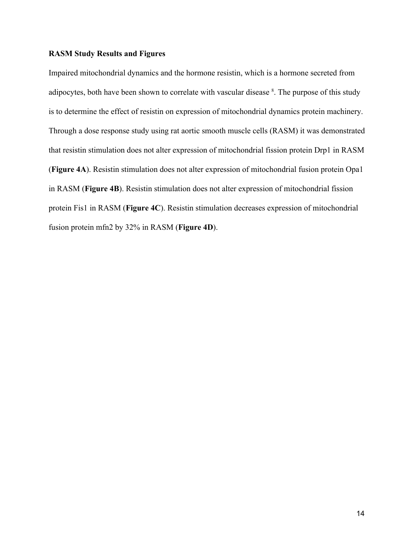# **RASM Study Results and Figures**

Impaired mitochondrial dynamics and the hormone resistin, which is a hormone secreted from adipocytes, both have been shown to correlate with vascular disease <sup>8</sup>. The purpose of this study is to determine the effect of resistin on expression of mitochondrial dynamics protein machinery. Through a dose response study using rat aortic smooth muscle cells (RASM) it was demonstrated that resistin stimulation does not alter expression of mitochondrial fission protein Drp1 in RASM (**Figure 4A**). Resistin stimulation does not alter expression of mitochondrial fusion protein Opa1 in RASM (**Figure 4B**). Resistin stimulation does not alter expression of mitochondrial fission protein Fis1 in RASM (**Figure 4C**). Resistin stimulation decreases expression of mitochondrial fusion protein mfn2 by 32% in RASM (**Figure 4D**).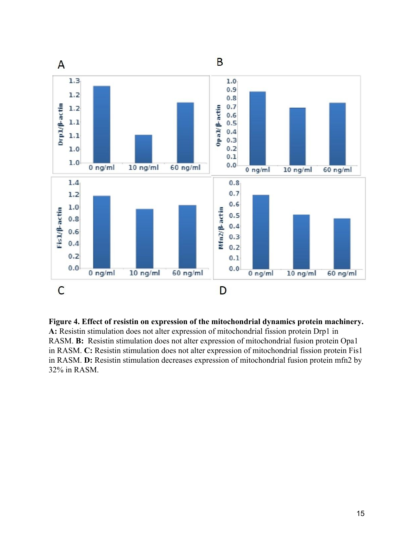

**Figure 4. Effect of resistin on expression of the mitochondrial dynamics protein machinery. A:** Resistin stimulation does not alter expression of mitochondrial fission protein Drp1 in RASM. **B:** Resistin stimulation does not alter expression of mitochondrial fusion protein Opa1 in RASM. **C:** Resistin stimulation does not alter expression of mitochondrial fission protein Fis1 in RASM. **D:** Resistin stimulation decreases expression of mitochondrial fusion protein mfn2 by 32% in RASM.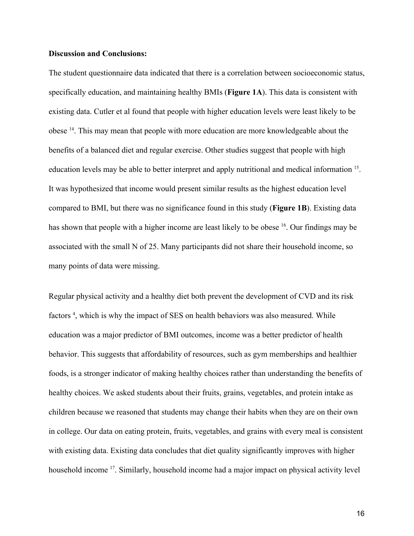# **Discussion and Conclusions:**

The student questionnaire data indicated that there is a correlation between socioeconomic status, specifically education, and maintaining healthy BMIs (**Figure 1A**). This data is consistent with existing data. Cutler et al found that people with higher education levels were least likely to be obese<sup>14</sup>. This may mean that people with more education are more knowledgeable about the benefits of a balanced diet and regular exercise. Other studies suggest that people with high education levels may be able to better interpret and apply nutritional and medical information <sup>15</sup>. It was hypothesized that income would present similar results as the highest education level compared to BMI, but there was no significance found in this study (**Figure 1B**). Existing data has shown that people with a higher income are least likely to be obese <sup>16</sup>. Our findings may be associated with the small N of 25. Many participants did not share their household income, so many points of data were missing.

Regular physical activity and a healthy diet both prevent the development of CVD and its risk factors<sup>4</sup>, which is why the impact of SES on health behaviors was also measured. While education was a major predictor of BMI outcomes, income was a better predictor of health behavior. This suggests that affordability of resources, such as gym memberships and healthier foods, is a stronger indicator of making healthy choices rather than understanding the benefits of healthy choices. We asked students about their fruits, grains, vegetables, and protein intake as children because we reasoned that students may change their habits when they are on their own in college. Our data on eating protein, fruits, vegetables, and grains with every meal is consistent with existing data. Existing data concludes that diet quality significantly improves with higher household income <sup>17</sup>. Similarly, household income had a major impact on physical activity level

16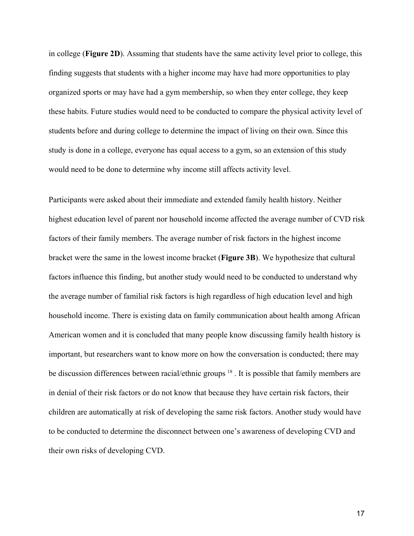in college (**Figure 2D**). Assuming that students have the same activity level prior to college, this finding suggests that students with a higher income may have had more opportunities to play organized sports or may have had a gym membership, so when they enter college, they keep these habits. Future studies would need to be conducted to compare the physical activity level of students before and during college to determine the impact of living on their own. Since this study is done in a college, everyone has equal access to a gym, so an extension of this study would need to be done to determine why income still affects activity level.

Participants were asked about their immediate and extended family health history. Neither highest education level of parent nor household income affected the average number of CVD risk factors of their family members. The average number of risk factors in the highest income bracket were the same in the lowest income bracket (**Figure 3B**). We hypothesize that cultural factors influence this finding, but another study would need to be conducted to understand why the average number of familial risk factors is high regardless of high education level and high household income. There is existing data on family communication about health among African American women and it is concluded that many people know discussing family health history is important, but researchers want to know more on how the conversation is conducted; there may be discussion differences between racial/ethnic groups <sup>18</sup>. It is possible that family members are in denial of their risk factors or do not know that because they have certain risk factors, their children are automatically at risk of developing the same risk factors. Another study would have to be conducted to determine the disconnect between one's awareness of developing CVD and their own risks of developing CVD.

17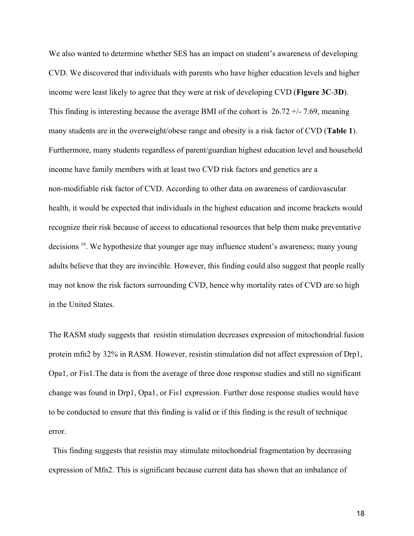We also wanted to determine whether SES has an impact on student's awareness of developing CVD. We discovered that individuals with parents who have higher education levels and higher income were least likely to agree that they were at risk of developing CVD (**Figure 3C**-**3D**). This finding is interesting because the average BMI of the cohort is  $26.72 +11.69$ , meaning many students are in the overweight/obese range and obesity is a risk factor of CVD (**Table 1**). Furthermore, many students regardless of parent/guardian highest education level and household income have family members with at least two CVD risk factors and genetics are a non-modifiable risk factor of CVD. According to other data on awareness of cardiovascular health, it would be expected that individuals in the highest education and income brackets would recognize their risk because of access to educational resources that help them make preventative decisions <sup>19</sup>. We hypothesize that younger age may influence student's awareness; many young adults believe that they are invincible. However, this finding could also suggest that people really may not know the risk factors surrounding CVD, hence why mortality rates of CVD are so high in the United States.

The RASM study suggests that resistin stimulation decreases expression of mitochondrial fusion protein mfn2 by 32% in RASM. However, resistin stimulation did not affect expression of Drp1, Opa1, or Fis1.The data is from the average of three dose response studies and still no significant change was found in Drp1, Opa1, or Fis1 expression. Further dose response studies would have to be conducted to ensure that this finding is valid or if this finding is the result of technique error.

 This finding suggests that resistin may stimulate mitochondrial fragmentation by decreasing expression of Mfn2. This is significant because current data has shown that an imbalance of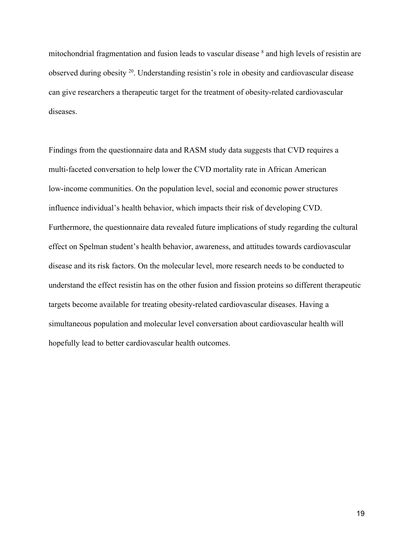mitochondrial fragmentation and fusion leads to vascular disease <sup>8</sup> and high levels of resistin are observed during obesity<sup>20</sup>. Understanding resistin's role in obesity and cardiovascular disease can give researchers a therapeutic target for the treatment of obesity-related cardiovascular diseases.

Findings from the questionnaire data and RASM study data suggests that CVD requires a multi-faceted conversation to help lower the CVD mortality rate in African American low-income communities. On the population level, social and economic power structures influence individual's health behavior, which impacts their risk of developing CVD. Furthermore, the questionnaire data revealed future implications of study regarding the cultural effect on Spelman student's health behavior, awareness, and attitudes towards cardiovascular disease and its risk factors. On the molecular level, more research needs to be conducted to understand the effect resistin has on the other fusion and fission proteins so different therapeutic targets become available for treating obesity-related cardiovascular diseases. Having a simultaneous population and molecular level conversation about cardiovascular health will hopefully lead to better cardiovascular health outcomes.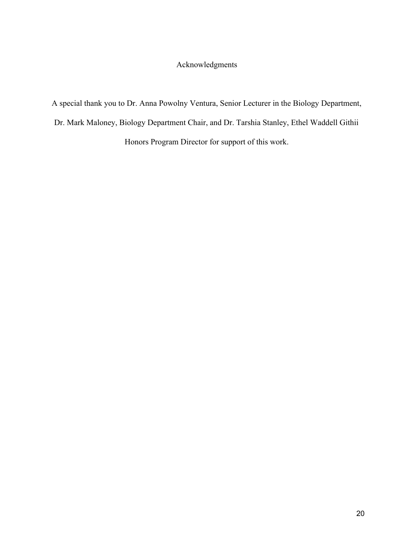# Acknowledgments

A special thank you to Dr. Anna Powolny Ventura, Senior Lecturer in the Biology Department, Dr. Mark Maloney, Biology Department Chair, and Dr. Tarshia Stanley, Ethel Waddell Githii Honors Program Director for support of this work.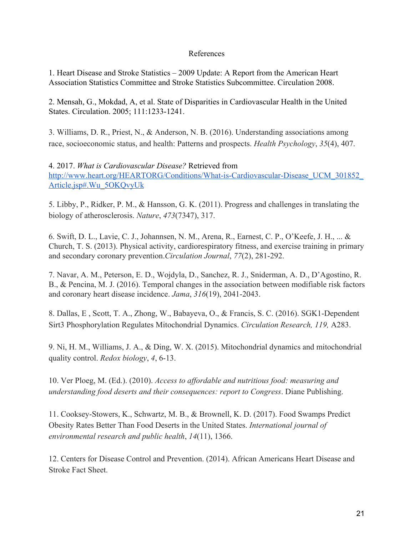# References

1. Heart Disease and Stroke Statistics – 2009 Update: A Report from the American Heart Association Statistics Committee and Stroke Statistics Subcommittee. Circulation 2008.

2. Mensah, G., Mokdad, A, et al. State of Disparities in Cardiovascular Health in the United States. Circulation. 2005; 111:1233-1241.

3. Williams, D. R., Priest, N., & Anderson, N. B. (2016). Understanding associations among race, socioeconomic status, and health: Patterns and prospects. *Health Psychology*, *35*(4), 407.

4. 2017. *What is Cardiovascular Disease?* Retrieved from [http://www.heart.org/HEARTORG/Conditions/What-is-Cardiovascular-Disease\\_UCM\\_301852\\_](http://www.heart.org/HEARTORG/Conditions/What-is-Cardiovascular-Disease_UCM_301852_Article.jsp#.Wu_5OKQvyUk) [Article.jsp#.Wu\\_5OKQvyUk](http://www.heart.org/HEARTORG/Conditions/What-is-Cardiovascular-Disease_UCM_301852_Article.jsp#.Wu_5OKQvyUk)

5. Libby, P., Ridker, P. M., & Hansson, G. K. (2011). Progress and challenges in translating the biology of atherosclerosis. *Nature*, *473*(7347), 317.

6. Swift, D. L., Lavie, C. J., Johannsen, N. M., Arena, R., Earnest, C. P., O'Keefe, J. H., ... & Church, T. S. (2013). Physical activity, cardiorespiratory fitness, and exercise training in primary and secondary coronary prevention.*Circulation Journal*, *77*(2), 281-292.

7. Navar, A. M., Peterson, E. D., Wojdyla, D., Sanchez, R. J., Sniderman, A. D., D'Agostino, R. B., & Pencina, M. J. (2016). Temporal changes in the association between modifiable risk factors and coronary heart disease incidence. *Jama*, *316*(19), 2041-2043.

8. Dallas, E , Scott, T. A., Zhong, W., Babayeva, O., & Francis, S. C. (2016). SGK1-Dependent Sirt3 Phosphorylation Regulates Mitochondrial Dynamics. *Circulation Research, 119,* A283.

9. Ni, H. M., Williams, J. A., & Ding, W. X. (2015). Mitochondrial dynamics and mitochondrial quality control. *Redox biology*, *4*, 6-13.

10. Ver Ploeg, M. (Ed.). (2010). *Access to affordable and nutritious food: measuring and understanding food deserts and their consequences: report to Congress*. Diane Publishing.

11. Cooksey-Stowers, K., Schwartz, M. B., & Brownell, K. D. (2017). Food Swamps Predict Obesity Rates Better Than Food Deserts in the United States. *International journal of environmental research and public health*, *14*(11), 1366.

12. Centers for Disease Control and Prevention. (2014). African Americans Heart Disease and Stroke Fact Sheet.